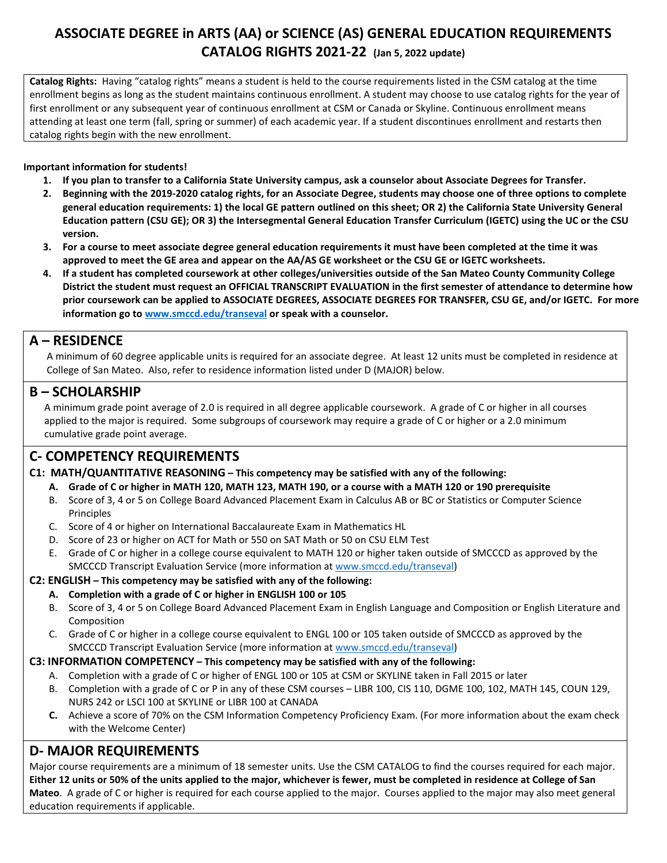# **ASSOCIATE DEGREE in ARTS (AA) or SCIENCE (AS) GENERAL EDUCATION REQUIREMENTS CATALOG RIGHTS 2021-22 (Jan 5, 2022 update)**

**Catalog Rights:** Having "catalog rights" means a student is held to the course requirements listed in the CSM catalog at the time enrollment begins as long as the student maintains continuous enrollment. A student may choose to use catalog rights for the year of first enrollment or any subsequent year of continuous enrollment at CSM or Canada or Skyline. Continuous enrollment means attending at least one term (fall, spring or summer) of each academic year. If a student discontinues enrollment and restarts then catalog rights begin with the new enrollment.

### **Important information for students!**

- **1. If you plan to transfer to a California State University campus, ask a counselor about Associate Degrees for Transfer.**
- **2. Beginning with the 2019-2020 catalog rights, for an Associate Degree, students may choose one of three options to complete general education requirements: 1) the local GE pattern outlined on this sheet; OR 2) the California State University General Education pattern (CSU GE); OR 3) the Intersegmental General Education Transfer Curriculum (IGETC) using the UC or the CSU version.**
- **3. For a course to meet associate degree general education requirements it must have been completed at the time it was approved to meet the GE area and appear on the AA/AS GE worksheet or the CSU GE or IGETC worksheets.**
- **4. If a student has completed coursework at other colleges/universities outside of the San Mateo County Community College District the student must request an OFFICIAL TRANSCRIPT EVALUATION in the first semester of attendance to determine how prior coursework can be applied to ASSOCIATE DEGREES, ASSOCIATE DEGREES FOR TRANSFER, CSU GE, and/or IGETC. For more information go to [www.smccd.edu/transeval](http://www.smccd.edu/transeval) or speak with a counselor.**

**A** – **RESIDENCE**<br>A minimum of 60 degree applicable units is required for an associate degree. At least 12 units must be completed in residence at College of San Mateo. Also, refer to residence information listed under D (MAJOR) below.

# **B – SCHOLARSHIP**

 A minimum grade point average of 2.0 is required in all degree applicable coursework. A grade of C or higher in all courses applied to the major is required. Some subgroups of coursework may require a grade of C or higher or a 2.0 minimum cumulative grade point average.

# **C- COMPETENCY REQUIREMENTS**

### **C1: MATH/QUANTITATIVE REASONING – This competency may be satisfied with any of the following:**

- **A. Grade of C or higher in MATH 120, MATH 123, MATH 190, or a course with a MATH 120 or 190 prerequisite**
- B. Score of 3, 4 or 5 on College Board Advanced Placement Exam in Calculus AB or BC or Statistics or Computer Science Principles
- C. Score of 4 or higher on International Baccalaureate Exam in Mathematics HL
- D. Score of 23 or higher on ACT for Math or 550 on SAT Math or 50 on CSU ELM Test
- E. Grade of C or higher in a college course equivalent to MATH 120 or higher taken outside of SMCCCD as approved by the SMCCCD Transcript Evaluation Service (more information at [www.smccd.edu/transeval\)](http://www.smccd.edu/transeval)

### **C2: ENGLISH – This competency may be satisfied with any of the following:**

- **A. Completion with a grade of C or higher in ENGLISH 100 or 105**
- B. Score of 3, 4 or 5 on College Board Advanced Placement Exam in English Language and Composition or English Literature and Composition
- C. Grade of C or higher in a college course equivalent to ENGL 100 or 105 taken outside of SMCCCD as approved by the SMCCCD Transcript Evaluation Service (more information at [www.smccd.edu/transeval\)](http://www.smccd.edu/transeval)

### **C3: INFORMATION COMPETENCY – This competency may be satisfied with any of the following:**

- A. Completion with a grade of C or higher of ENGL 100 or 105 at CSM or SKYLINE taken in Fall 2015 or later
- B. Completion with a grade of C or P in any of these CSM courses LIBR 100, CIS 110, DGME 100, 102, MATH 145, COUN 129, NURS 242 or LSCI 100 at SKYLINE or LIBR 100 at CANADA
- **C.** Achieve a score of 70% on the CSM Information Competency Proficiency Exam. (For more information about the exam check with the Welcome Center)

# **D- MAJOR REQUIREMENTS**

Major course requirements are a minimum of 18 semester units. Use the CSM CATALOG to find the courses required for each major. **Either 12 units or 50% of the units applied to the major, whichever is fewer, must be completed in residence at College of San Mateo**. A grade of C or higher is required for each course applied to the major. Courses applied to the major may also meet general education requirements if applicable.